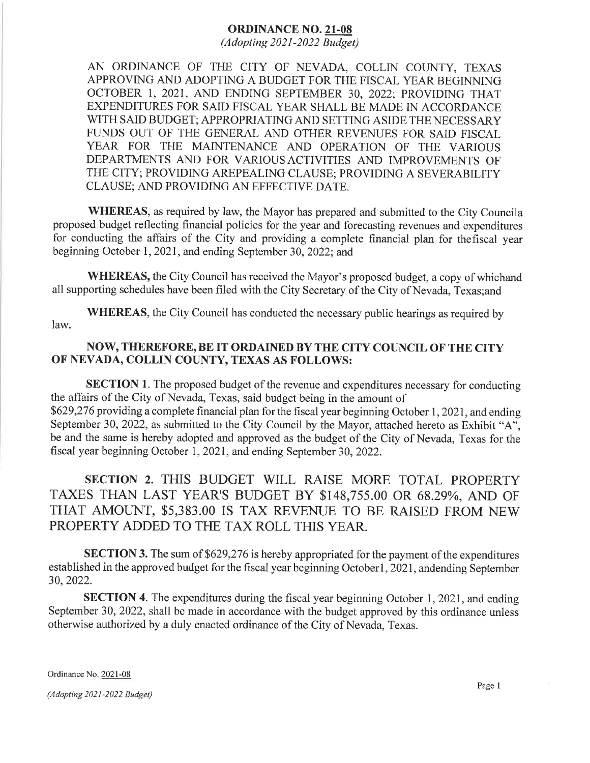## ORDINANCE NO. 2I-08

 $(Adopting 2021-2022 Bulget)$ 

AN ORDINANCE OF THE CITY OF NEVADA, COLLIN COUNTY, TEXAS APPROVING AND ADOPTING A BUDGET FOR THE FISCAL YEAR BEGINNING OCTOBER l, 2021, AND ENDING SEPTEMBER 30, 2022; PROVIDING THAT EXPENDITURES FOR SAID FISCAL YEAR SHALL BE MADE IN ACCORDANCE WITH SAID BUDGET; APPROPRIATING AND SETTING ASIDE THE NECESSARY FUNDS OUT OF THE GENERAL AND OTHER REVENUES FOR SAID FISCAL YEAR FOR THE MAINTENANCE AND OPERATION OF THE VARIOUS DEPARTMENTS AND FOR VARIOUS ACTIVITIES AND IMPROVEMENTS OF THE CITY; PROVIDING AREPEALING CLAUSE; PROVIDING A SEVERABILITY CLAUSE; AND PROVIDING AN EFFECTIVE DATE.

WHEREAS, as required by law, the Mayor has prepared and submitted to the City Councila proposed budget reflecting financial policies for the year and forecasting revenues and expenditures for conducting the affairs of the City and providing a complete financial plan for thefîscal year beginning October 1,2021, and ending September 30,2022; and

WHEREAS, the City Council has received the Mayor's proposed budget, a copy of whichand all supporting schedules have been filed with the City Secretary of the City of Nevada, Texas;and

WHEREAS, the City Council has conducted the necessary public hearings as required by law.

## NOW, THEREFORE, BE IT ORDAINED BY THE CITY COUNCIL OF THE CITY oF NEVADA, COLLIN COUNTY, TEXAS AS FOLLOWS:

SECTION 1. The proposed budget of the revenue and expenditures necessary for conducting the affairs of the City of Nevada, Texas, said budget being in the amount of \$629,276 providing a complete financial plan for the fiscal year beginning October 1, 2021, and ending September 30, 2022, as submitted to the City Council by the Mayor, attached hereto as Exhibit "A". be and the same is hereby adopted and approved as the budget of the City of Nevada, Texas for the fiscal year beginning October 1,2021, and ending September 30,2022.

## SECTION 2. THIS BUDGET WILL RAISE MORE TOTAL PROPERTY TAXES THAN LAST YEAR'S BUDGET BY \$148,755.00 OR 68.29yo, AND OF THAT AMOUNT, \$5,383.00 IS TAX REVENUE TO BE RAISED FROM NEW PROPERTY ADDED TO THE TAX ROLL THIS YEAR.

SECTION 3. The sum of \$629,276 is hereby appropriated for the payment of the expenditures established in the approved budget for the fiscal year beginning Octoberl, 2021, andending September 30,2022.

SECTION 4. The expenditures during the fiscal year beginning October 1, 2021, and ending September 30, 2022, shall be made in accordance with the budget approved by this ordinance unless otherwise authorized by a duly enacted ordinance of the City of Nevada, Texas.

Ordinance No. 2021-08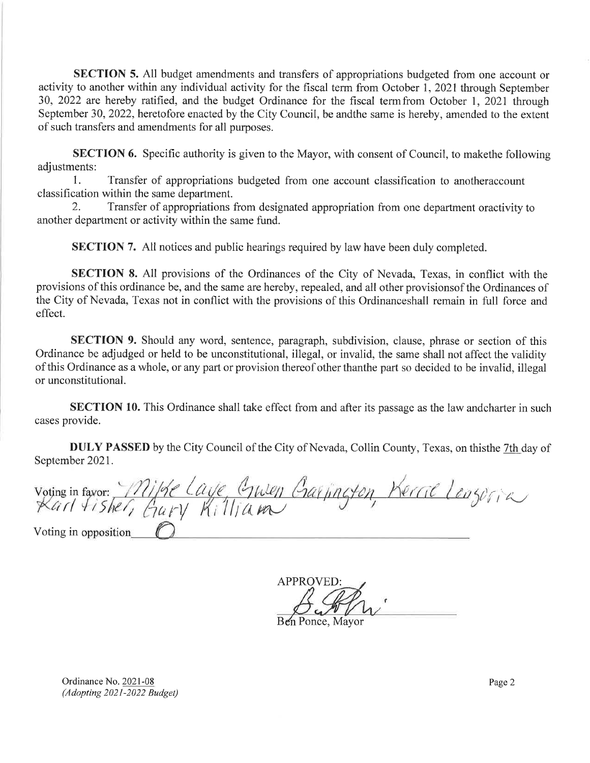SECTION 5. All budget amendments and transfers of appropriations budgeted from one account or activity to another within any individual activity for the fiscal term from October 1, 2021 through September 30, 2022 are hereby ratified, and the budget Ordinance for the fiscal termfrom October 1, 2021 through September 30, 2022, heretofore enacted by the City Council, be andthe same is hereby, amended to the extent of such transfers and amendments for all purposes.

SECTION 6. Specific authority is given to the Mayor, with consent of Council, to makethe following adjustments:

1. Transfer of appropriations budgeted from one account classification to anotheraccount classification within the same department.

2. Transfer of appropriations from designated appropriation from one department oractivity to another department or activity within the same fund.

SECTION 7. All notices and public hearings required by law have been duly completed.

SECTION 8. All provisions of the Ordinances of the City of Nevada, Texas, in conflict with the provisions of this ordinance be, and the same are hereby, repealed, and all other provisionsof the Ordinances of the City of Nevada, Texas not in conflict with the provisions of this Ordinanceshall remain in full force and effect.

SECTION 9. Should any word, sentence, paragraph, subdivision, clause, phrase or section of this Ordinance be adjudged or held to be unconstitutional, illegal, or invalid, the same shall not affect the validity of this Ordinance as a whole, or any part or provision thereof other thanthe part so decided to be invalid, illegal or unconstitutional.

SECTION 10. This Ordinance shall take effect from and after its passage as the law andcharter in such cases provide.

DULY PASSED by the City Council of the City of Nevada, Collin County, Texas, on thisthe 7th day of September 2021.

Voting in favor: <u>111/92 Clive, Glwen Gar jington, Merrit Lenz</u>or, 2<br>Karl Fisher, Gary Killian  $a$ ry Killiam Voting in opposition

**APPROVED** 

Ben Ponce, Mayor

Ordinance No. 2021-08 (Adopting 2021-2022 Budget)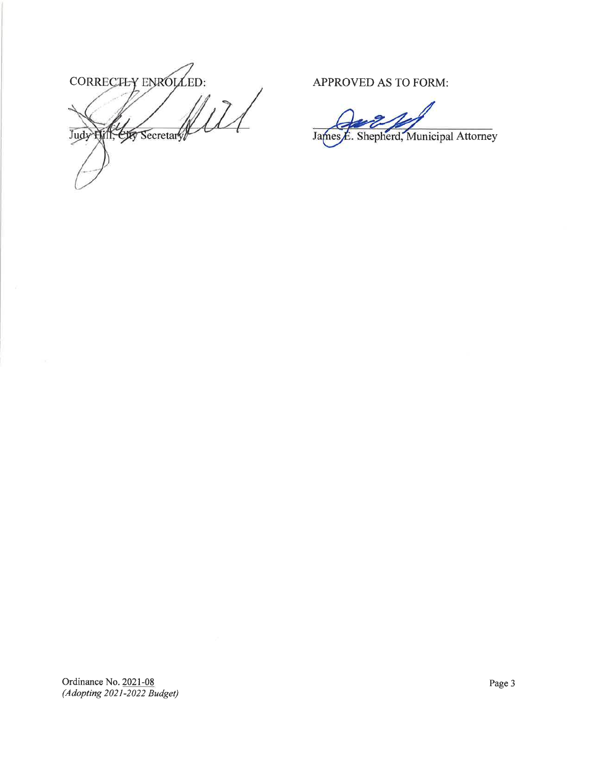CORRECTLY ENROLLED:  $171$ Judy Hill, CIT Secretary

APPROVED AS TO FORM:

Shepherd, Municipal Attorney James

Ordinance No. 2021-08  $(Adopting 2021 - 2022 Bulget)$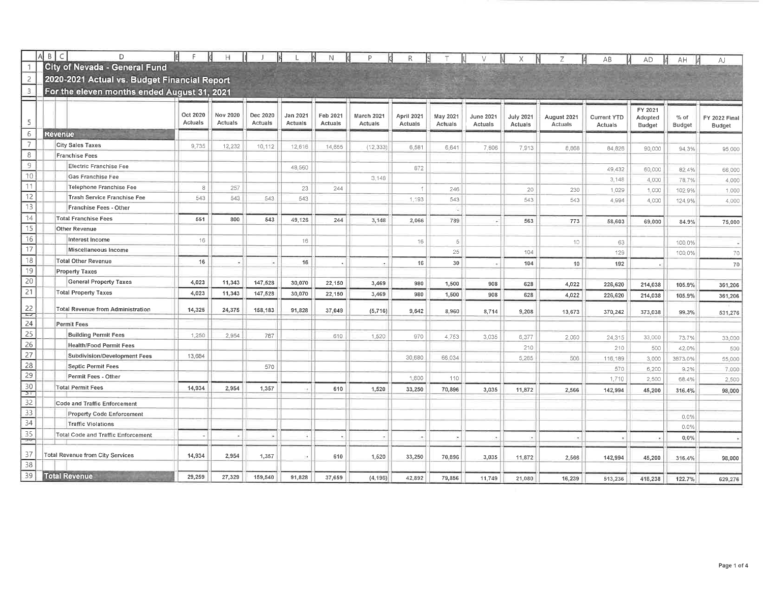|                                                                       | B<br>$\subset$<br>D                          |                     | H                   |                     |                     |                     |                              |                       |          |           |                  | Ζ           | AB                 | <b>AD</b>     | AH              | AJ            |
|-----------------------------------------------------------------------|----------------------------------------------|---------------------|---------------------|---------------------|---------------------|---------------------|------------------------------|-----------------------|----------|-----------|------------------|-------------|--------------------|---------------|-----------------|---------------|
|                                                                       | <b>City of Nevada - General Fund</b>         |                     |                     |                     |                     |                     |                              |                       |          |           |                  |             |                    |               |                 |               |
| $\overline{2}$                                                        | 2020-2021 Actual vs. Budget Financial Report |                     |                     |                     |                     |                     |                              |                       |          |           |                  |             |                    |               |                 |               |
| $\overline{\mathbf{3}}$                                               | For the eleven months ended August 31, 2021  |                     |                     |                     |                     |                     |                              |                       |          |           |                  |             |                    |               |                 |               |
|                                                                       |                                              |                     |                     |                     |                     |                     |                              |                       |          |           |                  |             |                    | FY 2021       |                 |               |
| 5                                                                     |                                              | Oct 2020<br>Actuals | Nov 2020<br>Actuals | Dec 2020<br>Actuals | Jan 2021<br>Actuals | Feb 2021<br>Actuals | <b>March 2021</b><br>Actuals | April 2021<br>Actuals | May 2021 | June 2021 | <b>July 2021</b> | August 2021 | <b>Current YTD</b> | Adopted       | $%$ of          | FY 2022 Final |
| 6                                                                     | <b>Revenue</b>                               |                     |                     |                     |                     |                     |                              |                       | Actuals  | Actuals   | Actuals          | Actuals     | Actuals            | <b>Budget</b> | <b>Budget</b>   | Budget        |
| $\overline{7}$                                                        | <b>City Sales Taxes</b>                      | 9,735               | 12,232              | 10,112              | 12,616              | 14,655              | (12, 333)                    | 6,581                 | 6,641    | 7,806     | 7,913            | 8,868       | 84,826             | 90,000        | 94.3%           |               |
| 8                                                                     | <b>Franchise Fees</b>                        |                     |                     |                     |                     |                     |                              |                       |          |           |                  |             |                    |               |                 | 95,000        |
| $\overline{9}$                                                        | Electric Franchise Fee                       |                     |                     |                     | 48,560              |                     |                              | 872                   |          |           |                  |             | 49,432             | 60,000        | 82.4%           | 66,000        |
| 10                                                                    | Gas Franchise Fee                            |                     |                     |                     |                     |                     | 3,148                        |                       |          |           |                  |             | 3,148              | 4.000         | 78.7%           | 4,000         |
| 11                                                                    | Telephone Franchise Fee                      | 8                   | 257                 |                     | 23                  | 244                 |                              | $\uparrow$            | 246      |           | 20               | 230         | 1,029              | 1,000         | 102.9%          | 1.000         |
| 12                                                                    | Trash Service Franchise Fee                  | 543                 | 543                 | 543                 | 543                 |                     |                              | 1,193                 | 543      |           | 543              | 543         | 4,994              | 4,000         | 124.9%          | 4,000         |
| $\overline{13}$                                                       | Franchise Fees - Other                       |                     |                     |                     |                     |                     |                              |                       |          |           |                  |             |                    |               |                 |               |
| $\boxed{14}$                                                          | <b>Total Franchise Fees</b>                  | 551                 | 800                 | 543                 | 49,126              | 244                 | 3,148                        | 2,066                 | 789      |           | 563              | 773         | 58,603             | 69,000        | 84.9%           | 75,000        |
| $\boxed{15}$                                                          | Other Revenue                                |                     |                     |                     |                     |                     |                              |                       |          |           |                  |             |                    |               |                 |               |
| 16                                                                    | Interest Income                              | 16                  |                     |                     | 16                  |                     |                              | 16                    | 5        |           |                  | 10          | 63                 |               | 100.0%          |               |
| $\overline{17}$                                                       | Miscellaneous Income                         |                     |                     |                     |                     |                     |                              |                       | 25       |           | 104              |             | 129                |               | 100.0%          | 70            |
| $\overline{18}$                                                       | <b>Total Other Revenue</b>                   | 16                  |                     |                     | 16                  |                     |                              | 16                    | 30       |           | 104              | 10          | 192                |               |                 | 70            |
| 19                                                                    | <b>Property Taxes</b>                        |                     |                     |                     |                     |                     |                              |                       |          |           |                  |             |                    |               |                 |               |
| $\overline{20}$                                                       | <b>General Property Taxes</b>                | 4,023               | 11,343              | 147,528             | 30,070              | 22,150              | 3,469                        | 980                   | 1,500    | 908       | 628              | 4,022       | 226,620            | 214,038       | 105.9%          | 361,206       |
| $\overline{21}$                                                       | <b>Total Property Taxes</b>                  | 4,023               | 11,343              | 147,528             | 30,070              | 22,150              | 3,469                        | 980                   | 1,500    | 908       | 628              | 4,022       | 226,620            | 214,038       | 105.9%          | 361,206       |
| $\begin{array}{r} 22 \\ \hline 24 \\ \hline 25 \\ \hline \end{array}$ | <b>Total Revenue from Administration</b>     | 14,325              | 24,375              | 158,183             | 91,828              | 37,049              | (5,716)                      | 9,642                 | 8,960    | 8,714     | 9,208            | 13,673      | 370,242            | 373,038       | 99,3%           | 531,276       |
|                                                                       | <b>Permit Fees</b>                           |                     |                     |                     |                     |                     |                              |                       |          |           |                  |             |                    |               |                 |               |
|                                                                       | <b>Building Permit Fees</b>                  | 1,250               | 2,954               | 787                 |                     | 610                 | 1,520                        | 970                   | 4,753    | 3,035     | 6,377            | 2,060       | 24,315             | 33,000        | 73.7%           | 33,000        |
| $\overline{26}$                                                       | <b>Health/Food Permit Fees</b>               |                     |                     |                     |                     |                     |                              |                       |          |           | 210              |             | 210                | 500           | 42.0%           | 500           |
| 27                                                                    | Subdivision/Development Fees                 | 13,684              |                     |                     |                     |                     |                              | 30,680                | 66,034   |           | 5,285            | 506         | 116,189            | 3,000         | 3873,0%         | 55,000        |
| 28                                                                    | <b>Septic Permit Fees</b>                    |                     |                     | 570                 |                     |                     |                              |                       |          |           |                  |             | 570                | 6,200         | 9.2%            | 7,000         |
| 29                                                                    | Permit Fees - Other                          |                     |                     |                     |                     |                     |                              | 1,600                 | 110      |           |                  |             | 1,710              | 2,500         | 68.4%           | 2,500         |
| $\frac{30}{21}$                                                       | <b>Total Permit Fees</b>                     | 14,934              | 2,954               | 1,357               |                     | 610                 | 1,520                        | 33,250                | 70,896   | 3,035     | 11,872           | 2,566       | 142,994            | 45,200        | 316.4%          | 98,000        |
| 32                                                                    | <b>Code and Traffic Enforcement</b>          |                     |                     |                     |                     |                     |                              |                       |          |           |                  |             |                    |               |                 |               |
| 33                                                                    | <b>Property Code Enforcement</b>             |                     |                     |                     |                     |                     |                              |                       |          |           |                  |             |                    |               |                 |               |
| 34                                                                    | <b>Traffic Violations</b>                    |                     |                     |                     |                     |                     |                              |                       |          |           |                  |             |                    |               | 0.0%<br>$0.0\%$ |               |
| 35                                                                    | <b>Total Code and Traffic Enforcement</b>    |                     |                     |                     |                     |                     |                              |                       |          |           | œ.               | $\sim$      |                    |               | $0.0\%$         |               |
| ారా                                                                   |                                              |                     |                     |                     |                     |                     |                              |                       |          |           |                  |             |                    |               |                 |               |
| 37<br>38                                                              | <b>Total Revenue from City Services</b>      | 14,934              | 2,954               | 1,357               |                     | 610                 | 1,520                        | 33,250                | 70,896   | 3,035     | 11,872           | 2,566       | 142,994            | 45,200        | 316.4%          | 98,000        |
| 39                                                                    | <b>Total Revenue</b>                         | 29,259              | 27,329              | 159,540             | 91,828              | 37,659              |                              |                       |          |           |                  |             |                    |               |                 |               |
|                                                                       |                                              |                     |                     |                     |                     |                     | (4, 196)                     | 42,892                | 79,856   | 11.749    | 21,080           | 16,239      | 513.236            | 418.238       | 122.7%          | 629,276       |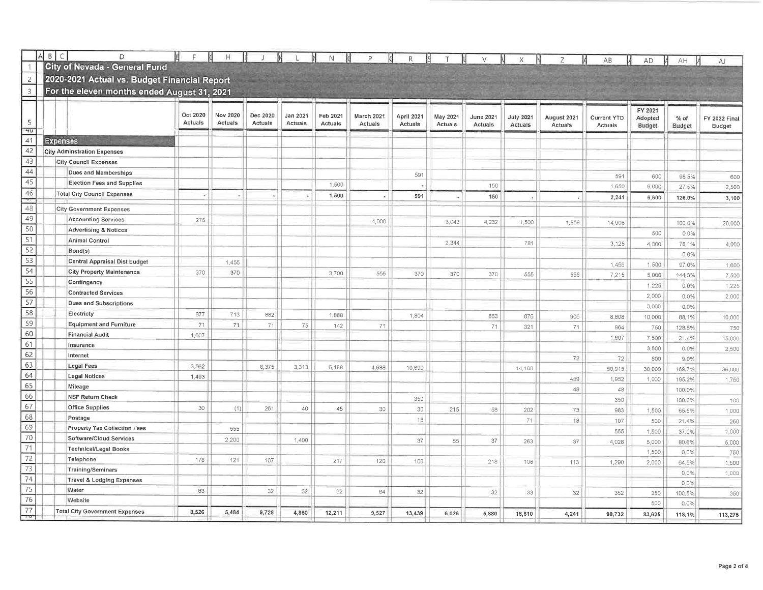|                 | $A$ $B$ $C$ |                   | D                                            | E        | H        |          |                | N        | P          | $\mathsf{R}$ |          |           |                             |                        | AB                            | AD                | AΗ               | AJ                      |
|-----------------|-------------|-------------------|----------------------------------------------|----------|----------|----------|----------------|----------|------------|--------------|----------|-----------|-----------------------------|------------------------|-------------------------------|-------------------|------------------|-------------------------|
| $\overline{1}$  |             |                   | City of Nevada - General Fund                |          |          |          |                |          |            |              |          |           |                             |                        |                               |                   |                  |                         |
| $\overline{c}$  |             |                   | 2020-2021 Actual vs. Budget Financial Report |          |          |          |                |          |            |              |          |           |                             |                        |                               |                   |                  |                         |
| $\overline{3}$  |             |                   | For the eleven months ended August 31, 2021  |          |          |          |                |          |            |              |          |           |                             |                        |                               |                   |                  |                         |
|                 |             |                   |                                              |          |          |          |                |          |            |              |          |           |                             |                        |                               |                   |                  |                         |
|                 |             |                   |                                              | Oct 2020 | Nov 2020 | Dec 2020 | Jan 2021       | Feb 2021 | March 2021 | April 2021   | May 2021 | June 2021 |                             |                        |                               | FY 2021           |                  |                         |
| 5               |             |                   |                                              | Actuals  | Actuals  | Actuals  | <b>Actuals</b> | Actuals  | Actuals    | Actuals      | Actuals  | Actuals   | <b>July 2021</b><br>Actuals | August 2021<br>Actuals | <b>Current YTD</b><br>Actuals | Adopted<br>Budget | $%$ of<br>Budget | FY 2022 Final<br>Budget |
| 40              |             |                   |                                              |          |          |          |                |          |            |              |          |           |                             |                        |                               |                   |                  |                         |
| 41              |             | <b>Expenses</b>   |                                              |          |          |          |                |          |            |              |          |           |                             |                        |                               |                   |                  |                         |
| 42              |             |                   | <b>City Adminstration Expenses</b>           |          |          |          |                |          |            |              |          |           |                             |                        |                               |                   |                  |                         |
| 43              |             |                   | <b>City Council Expenses</b>                 |          |          |          |                |          |            |              |          |           |                             |                        |                               |                   |                  |                         |
| 44              |             |                   | Dues and Memberships                         |          |          |          |                |          |            | 591          |          |           |                             |                        | 591                           | 600               | 98.5%            | 600                     |
| $\overline{45}$ |             |                   | <b>Election Fees and Supplies</b>            |          |          |          |                | 1,500    |            | $\sim$       |          | 150       |                             |                        | 1,650                         | 6,000             | 27.5%            | 2,500                   |
| 46<br>$\tau$    |             |                   | <b>Total City Council Expenses</b>           | ×        | v.       |          |                | 1,500    |            | 591          |          | 150       |                             |                        | 2,241                         | 6,600             | 126.0%           | 3,100                   |
| 48              |             |                   | <b>City Government Expenses</b>              |          |          |          |                |          |            |              |          |           |                             |                        |                               |                   |                  |                         |
| 49              |             |                   | <b>Accounting Services</b>                   | 275      |          |          |                |          | 4.000      |              | 3,043    | 4,232     | 1,500                       | 1,859                  | 14,908                        |                   | 100.0%           | 20,000                  |
| 50              |             |                   | <b>Advertising &amp; Notices</b>             |          |          |          |                |          |            |              |          |           |                             |                        |                               | 500               | 0.0%             |                         |
| $\overline{51}$ |             |                   | <b>Animal Control</b>                        |          |          |          |                |          |            |              | 2,344    |           | 781                         |                        | 3,125                         | 4,000             | 78.1%            | 4,000                   |
| 52              |             | Bond(s)           |                                              |          |          |          |                |          |            |              |          |           |                             |                        |                               |                   | 0.0%             |                         |
| 53              |             |                   | Central Appraisal Dist budget                |          | 1,455    |          |                |          |            |              |          |           |                             |                        | 1,455                         | 1,500             | 97.0%            | 1,600                   |
| 54              |             |                   | <b>City Property Maintenance</b>             | 370      | 370      |          |                | 3,700    | 555        | 370          | 370      | 370       | 555                         | 555                    | 7,215                         | 5,000             | 144.3%           | 7,500                   |
| 55              |             |                   | Contingency                                  |          |          |          |                |          |            |              |          |           |                             |                        |                               | 1,225             | 0.0%             | 1,225                   |
| 56              |             |                   | <b>Contracted Services</b>                   |          |          |          |                |          |            |              |          |           |                             |                        |                               | 2,000             | 0.0%             | 2,000                   |
| 57              |             |                   | <b>Dues and Subscriptions</b>                |          |          |          |                |          |            |              |          |           |                             |                        |                               | 3,000             | 0.0%             |                         |
| 58              |             | Electricty        |                                              | 877      | 713      | 882      |                | 1,888    |            | 1,804        |          | 863       | 876                         | 905                    | 8,808                         | 10,000            | 88.1%            | 10,000                  |
| 59              |             |                   | <b>Equipment and Furniture</b>               | 71       | 71       | 71       | 75             | 142      | 71         |              |          | 71        | 321                         | 71                     | 964                           | 750               | 128,5%           | 750                     |
| 60              |             |                   | <b>Financial Audit</b>                       | 1,607    |          |          |                |          |            |              |          |           |                             |                        | 1,607                         | 7,500             | 21,4%            | 15,000                  |
| 61              |             | Insurance         |                                              |          |          |          |                |          |            |              |          |           |                             |                        |                               | 3,500             | 0.0%             | 2,500                   |
| 62              |             | Internet          |                                              |          |          |          |                |          |            |              |          |           |                             | 72                     | 72                            | 800               | 9.0%             |                         |
| 63              |             | <b>Legal Fees</b> |                                              | 3.562    |          | 8,375    | 3,313          | 6,188    | 4,688      | 10,690       |          |           | 14,100                      |                        | 50,915                        | 30,000            | 169.7%           | 36,000                  |
| 64              |             |                   | <b>Legal Notices</b>                         | 1,493    |          |          |                |          |            |              |          |           |                             | 459                    | 1,952                         | 1,000             | 195.2%           | 1,750                   |
| 65              |             | Mileage           |                                              |          |          |          |                |          |            |              |          |           |                             | 48                     | 48                            |                   | 100,0%           |                         |
| 66              |             |                   | <b>NSF Return Check</b>                      |          |          |          |                |          |            | 350          |          |           |                             |                        | 350                           |                   | 100.0%           | 100                     |
| 67              |             |                   | <b>Office Supplies</b>                       | 30       | (1)      | 261      | 40             | 45       | 30         | 30           | 215      | 58        | 202                         | 73                     | 983                           | 1,500             | 65,5%            | 1,000                   |
| 68              |             | Postage           |                                              |          |          |          |                |          |            | 18           |          |           | 71                          | 18                     | 107                           | 500               | 21.4%            | 250                     |
| 69              |             |                   | Property Tax Collection Fees                 |          | 555      |          |                |          |            |              |          |           |                             |                        | 555                           | 1,500             | 37.0%            | 1,000                   |
| 70              |             |                   | Software/Cloud Services                      |          | 2,200    |          | 1,400          |          |            | 37           | 55       | 37        | 263                         | 37                     | 4,028                         | 5,000             | 80.6%            | 5,000                   |
| 71              |             |                   | <b>Technical/Legal Books</b>                 |          |          |          |                |          |            |              |          |           |                             |                        |                               | 1,500             | $0.0\%$          | 750                     |
| 72              |             | Telephone         |                                              | 178      | 121      | 107      |                | 217      | 120        | 108          |          | 218       | 108                         | 113                    | 1,290                         | 2,000             | 64.5%            | 1,500                   |
| 73              |             |                   | Training/Seminars                            |          |          |          |                |          |            |              |          |           |                             |                        |                               |                   | 0,0%             | 1,000                   |
| 74              |             |                   | Travel & Lodging Expenses                    |          |          |          |                |          |            |              |          |           |                             |                        |                               |                   | 0.0%             |                         |
| 75              |             | Water             |                                              | 63       |          | 32       | 32             | 32       | 64         | 32           |          | 32        | 33                          | 32                     | 352                           | 350               | 100.5%           | 350                     |
| 76              |             | Website           |                                              |          |          |          |                |          |            |              |          |           |                             |                        |                               | 500               | 0.0%             |                         |
| 77              |             |                   | <b>Total City Government Expenses</b>        | 8,526    | 5,484    | 9,728    | 4,860          | 12,211   | 9,527      | 13,439       | 6,026    | 5,880     | 18,810                      | 4,241                  | 98,732                        | 83,625            | 118.1%           | 113,275                 |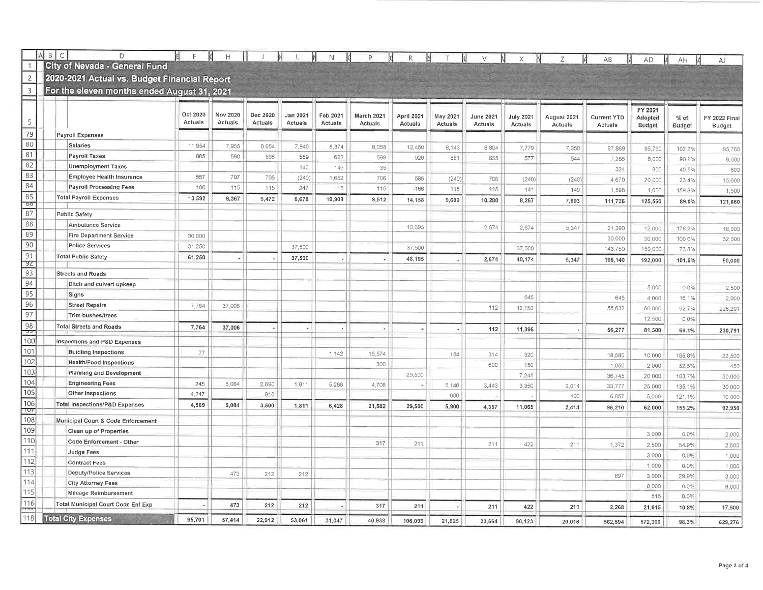|                          | B<br>$\subset$ | D                                            |                     | H                   |                     |              | $\mathsf N$  | P          | R              |          |           |                  | Z.          | AB                 | AD      | AH      | AJ                  |
|--------------------------|----------------|----------------------------------------------|---------------------|---------------------|---------------------|--------------|--------------|------------|----------------|----------|-----------|------------------|-------------|--------------------|---------|---------|---------------------|
|                          |                | City of Nevada - General Fund                |                     |                     |                     |              |              |            |                |          |           |                  |             |                    |         |         |                     |
| $\overline{2}$           |                | 2020-2021 Actual vs. Budget Financial Report |                     |                     |                     |              |              |            |                |          |           |                  |             |                    |         |         |                     |
| 3                        |                | For the eleven months ended August 31, 2021  |                     |                     |                     |              |              |            |                |          |           |                  |             |                    |         |         |                     |
|                          |                |                                              |                     |                     |                     |              |              |            |                |          |           |                  |             |                    | FY 2021 |         |                     |
| 5                        |                |                                              | Oct 2020<br>Actuals | Nov 2020<br>Actuals | Dec 2020<br>Actuals | Jan 2021     | Feb 2021     | March 2021 | April 2021     | May 2021 | June 2021 | <b>July 2021</b> | August 2021 | <b>Current YTD</b> | Adopted | % of    | <b>FY 2022 Fina</b> |
| 79                       |                |                                              |                     |                     |                     | Actuals      | Actuals      | Actuals    | <b>Actuals</b> | Actuals  | Actuals   | Actuals          | Actuals     | Actuals            | Budget  | Budget  | <b>Budget</b>       |
| 80                       |                | Payroll Expenses                             |                     |                     |                     |              |              |            |                |          |           |                  |             |                    |         |         |                     |
| 81                       |                | Salaries<br>Payroll Taxes                    | 11,954              | 7,955               | 8.054               | 7,940        | 8,374        | 8,058      | 12,460         | 9,143    | 8,804     | 7,779            | 7,350       | 97,869             | 95,760  | 102.2%  | 95,760              |
| 82                       |                | <b>Unemployment Taxes</b>                    | 885                 | 590                 | 598                 | 589          | 622          | 598        | 926            | 681      | 655       | 577              | 544         | 7,266              | 8,000   | 90.8%   | 8,000               |
| 83                       |                | <b>Employee Health Insurance</b>             | 567                 | 707                 |                     | 143          | 146          | 35         |                |          |           |                  |             | 324                | 800     | 40.5%   | 800                 |
| 84                       |                | <b>Payroll Processing Fees</b>               | 186                 | 115                 | 706<br>115          | (240)<br>247 | 1,652<br>115 | 706        | 586            | (240)    | 706       | (240)            | (240)       | 4,670              | 20,000  | 23.4%   | 15,600              |
| 85                       |                | <b>Total Payroll Expenses</b>                | 13,592              | 9,367               | 9,472               |              |              | 115        | $-186$         | 115      | 115       | 141              | 149         | 1,598              | 1,000   | 159.8%  | 1,500               |
| 80                       |                |                                              |                     |                     |                     | 8,678        | 10,908       | 9,512      | 14,158         | 9,699    | 10,280    | 8,257            | 7,803       | 111,726            | 125,560 | 89.0%   | 121,660             |
| 87                       |                | Public Safety                                |                     |                     |                     |              |              |            |                |          |           |                  |             |                    |         |         |                     |
| 88                       |                | Ambulance Service                            |                     |                     |                     |              |              |            | 10,695         |          | 2,674     | 2,674            | 5,347       | 21,390             | 12,000  | 178,2%  | 18,000              |
| 89                       |                | <b>Fire Department Service</b>               | 30,000              |                     |                     |              |              |            |                |          |           |                  |             | 30,000             | 30,000  | 100.0%  | 32,000              |
| 90                       |                | <b>Police Services</b>                       | 31,250              |                     |                     | 37,500       |              |            | 37,500         |          |           | 37,500           |             | 143,750            | 150,000 | 73.8%   |                     |
| 91<br>92                 |                | <b>Total Public Safety</b>                   | 61,250              |                     |                     | 37,500       |              |            | 48,195         |          | 2,674     | 40,174           | 5,347       | 195,140            | 192,000 | 101.6%  | 50,000              |
| 93                       |                | <b>Streets and Roads</b>                     |                     |                     |                     |              |              |            |                |          |           |                  |             |                    |         |         |                     |
| 94                       |                | Ditch and culvert upkeep                     |                     |                     |                     |              |              |            |                |          |           |                  |             |                    |         |         |                     |
| 95                       |                | Signs                                        |                     |                     |                     |              |              |            |                |          |           |                  |             |                    | 5,000   | 0.0%    | 2,500               |
| $\overline{96}$          |                | <b>Street Repairs</b>                        | 7,764               | 37,006              |                     |              |              |            |                |          |           | 645              |             | 645                | 4,000   | 16.1%   | 2,000               |
| 97                       |                | Trim bushes/trees                            |                     |                     |                     |              |              |            |                |          | 112       | 10,750           |             | 55,632             | 60,000  | 92.7%   | 226,291             |
| 98                       |                | <b>Total Streets and Roads</b>               | 7,764               | 37,006              |                     | ٠            |              | ٠          |                |          |           |                  |             |                    | 12,500  | 0.0%    |                     |
| $\overline{\phantom{a}}$ |                |                                              |                     |                     |                     |              |              |            |                |          | 112       | 11,395           |             | 56,277             | 81,500  | 69.1%   | 230,791             |
| 100                      |                | Inspections and P&D Expenses                 |                     |                     |                     |              |              |            |                |          |           |                  |             |                    |         |         |                     |
| $\overline{101}$         |                | <b>Buidling Inspections</b>                  | 77                  |                     |                     |              | 1,142        | 16,574     |                | 154      | 314       | 320              |             | 18,580             | 10,000  | 185.8%  | 22,500              |
| 102                      |                | <b>Health/Food Inspections</b>               |                     |                     |                     |              |              | 300        |                |          | 600       | 150              |             | 1,050              | 2,000   | 52.5%   | 450                 |
| 103                      |                | <b>Planning and Development</b>              |                     |                     |                     |              |              |            | 29,500         |          |           | 7,245            |             | 36,745             | 20,000  | 183.7%  | 30,000              |
| $\sqrt{104}$             |                | <b>Engineering Fees</b>                      | 245                 | 5,084               | 2,690               | 1,811        | 5,286        | 4,708      |                | 5,146    | 3,443     | 3,350            | 2.014       | 33,777             | 25,000  | 135.1%  | 30,000              |
| $\frac{1}{105}$          |                | Other Inspections                            | 4,247               |                     | 810                 |              |              |            |                | 600      |           |                  | 400         | 6.057              | 5,000   | 121.1%  | 10,000              |
| 106<br>TUT               |                | <b>Total Inspections/P&amp;D Expenses</b>    | 4,569               | 5,084               | 3,500               | 1,811        | 6,428        | 21,582     | 29,500         | 5,900    | 4,357     | 11,065           | 2,414       | 96.210             | 62,000  | 155.2%  | 92,950              |
| 108                      |                | Municipal Court & Code Enforcement           |                     |                     |                     |              |              |            |                |          |           |                  |             |                    |         |         |                     |
| 109                      |                | Clean up of Properties                       |                     |                     |                     |              |              |            |                |          |           |                  |             |                    | 3,000   | 0.0%    | 2,000               |
| 110                      |                | Code Enforcement - Other                     |                     |                     |                     |              |              | 317        | 211            |          | 211       | 422              | 211         | 1,372              | 2,500   | 54.9%   | 2,500               |
| $\overline{111}$         |                | Judge Fees                                   |                     |                     |                     |              |              |            |                |          |           |                  |             |                    | 3,000   | $0.0\%$ | 1,000               |
| $\overline{112}$         |                | <b>Contract Fees</b>                         |                     |                     |                     |              |              |            |                |          |           |                  |             |                    | 1,000   | $0.0\%$ | 1,000               |
| 113                      |                | Deputy/Police Services                       |                     | 473                 | 212                 | 212          |              |            |                |          |           |                  |             | 897                | 3,000   | 29.9%   | 3,000               |
| 114                      |                | City Attorney Fees                           |                     |                     |                     |              |              |            |                |          |           |                  |             |                    | 8,000   | 0.0%    | 8,000               |
| 115                      |                | Mileage Reimbursement                        |                     |                     |                     |              |              |            |                |          |           |                  |             |                    | 515     | 0.0%    |                     |
| 116                      |                | <b>Total Municipal Court Code Enf Exp</b>    |                     | 473                 | 212                 | 212          |              | 317        | 211            | $\sim$   | 211       | 422              | 211         | 2.268              | 21,015  | 10.8%   | 17,500              |
| 118                      |                | <b>Total City Expenses</b>                   | 95,701              | 57,414              | 22,912              | 53,061       | 31,047       | 40,938     | 106.093        | 21,625   | 23.664    | 90,123           | 20.016      | 562,594            | 572,300 | 98.3%   | 629,276             |